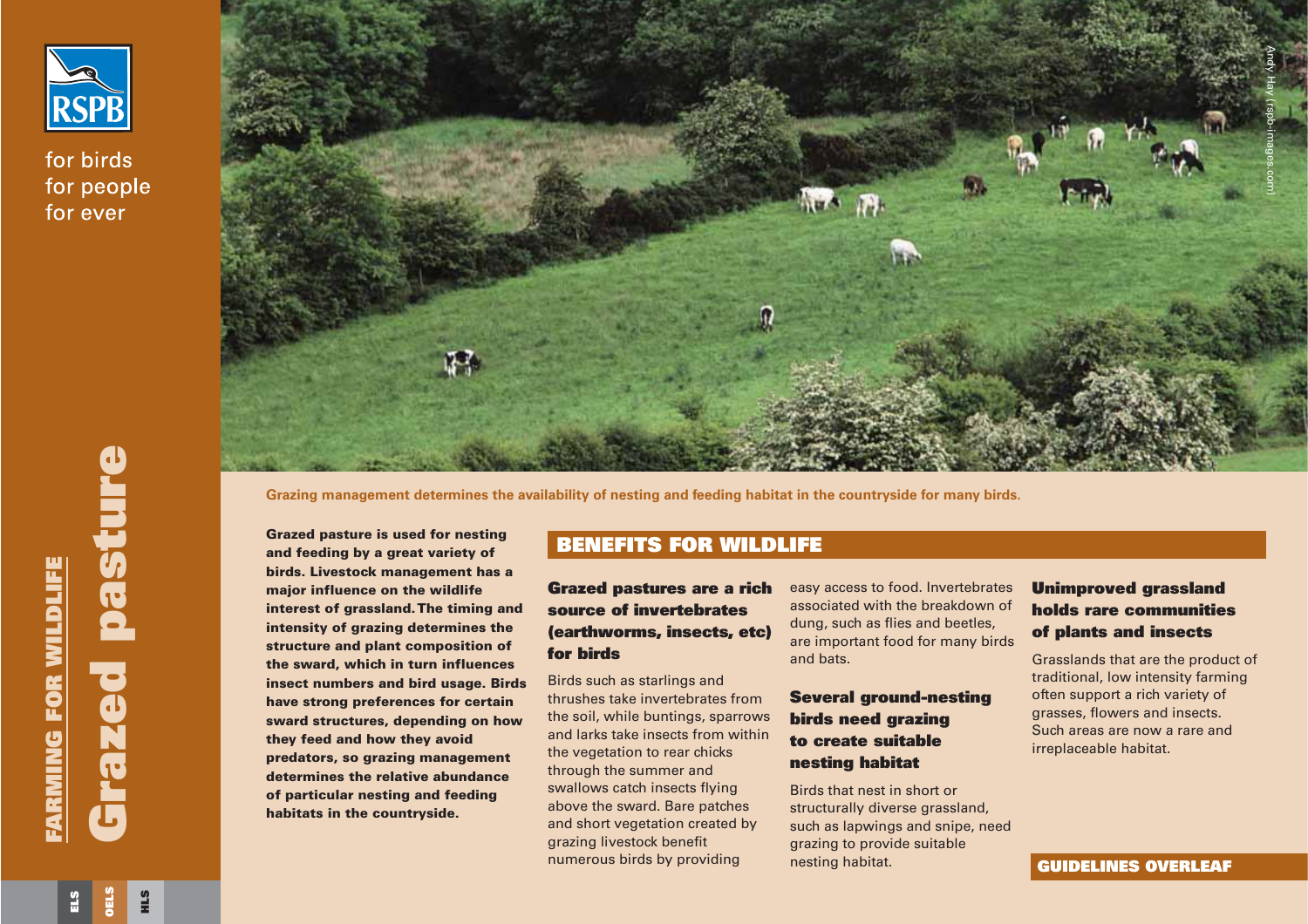

for birds for people for ever



**Grazing management determines the availability of nesting and feeding habitat in the countryside for many birds.**

**Grazed pasture is used for nesting and feeding by <sup>a</sup> great variety of birds. Livestock management has a major influence on the wildlife interest of grassland. The timing and intensity of grazing determines the structure and plant composition of the sward, which in turn influences insect numbers and bird usage. Birds have strong preferences for certain sward structures, depending on how they feed and how they avoid predators, so grazing management determines the relative abundanceof particular nesting and feeding habitats in the countryside.**  Grazing management determines the availability of nesting and feeding habitat in the countryside for many bird<br>
Scrazed pasture is used for nesting<br>
and feeding by a great variety of<br>
bries. Livestock management has the wi

## **BENEFITS FOR WILDLIFE**

### **Grazed pastures are a rich source of invertebrates(earthworms, insects, etc) for birds**

Birds such as starlings and thrushes take invertebrates fromthe soil, while buntings, sparrows and larks take insects from withinthe vegetation to rear chicks through the summer and swallows catch insects flying above the sward. Bare patches and short vegetation created by grazing livestock benefit numerous birds by providing

nesting habitat.

## **Unimproved grassland holds rare communitiesof plants and insects**

Grasslands that are the product of traditional, low intensity farming often support a rich variety of grasses, flowers and insects. Such areas are now a rare andirreplaceable habitat.

**HLS**